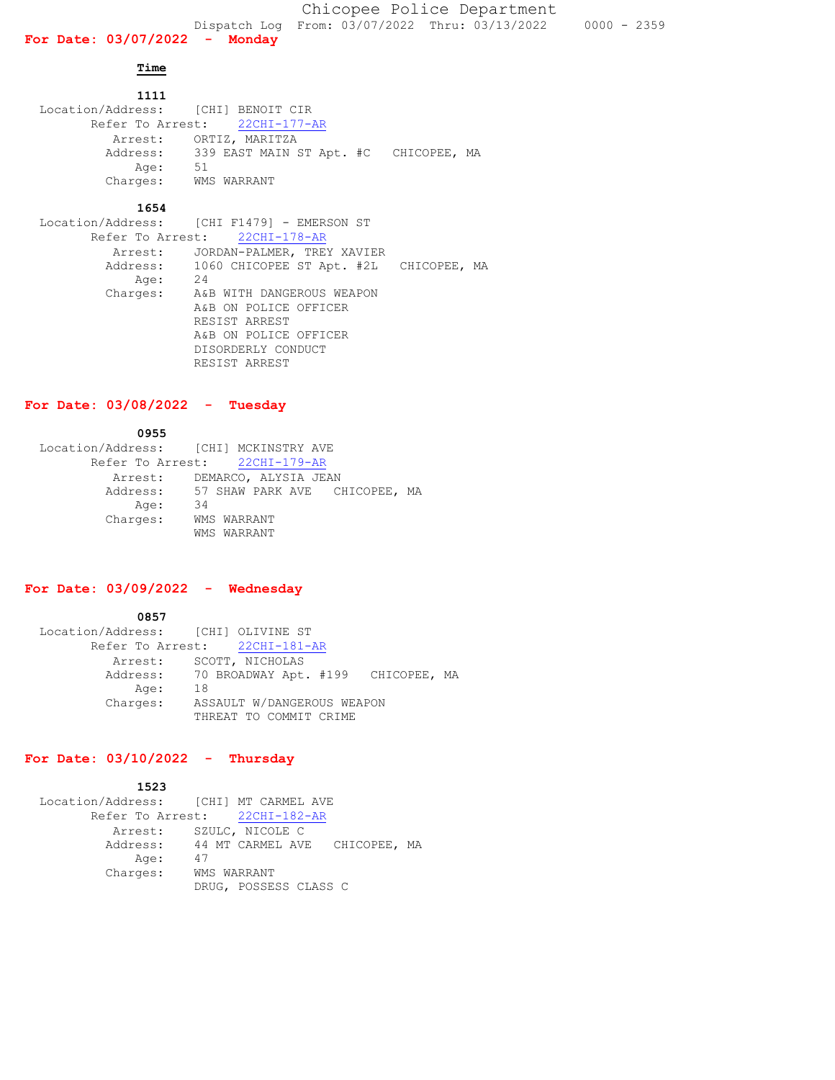**For Date: 03/07/2022 - Monday**

 **Time** 

## **1111** Location/Address: [CHI] BENOIT CIR Refer To Arrest: 22CHI-177-AR Arrest: ORTIZ, MARITZA Address: 339 EAST MAIN ST Apt. #C CHICOPEE, MA Age: 51 Charges: WMS WARRANT

 **1654**

 Location/Address: [CHI F1479] - EMERSON ST Refer To Arrest: 22CHI-178-AR Arrest: JORDAN-PALMER, TREY XAVIER Address: 1060 CHICOPEE ST Apt. #2L CHICOPEE, MA Age: 24 Charges: A&B WITH DANGEROUS WEAPON A&B ON POLICE OFFICER RESIST ARREST A&B ON POLICE OFFICER DISORDERLY CONDUCT RESIST ARREST

# **For Date: 03/08/2022 - Tuesday**

 **0955** Location/Address: [CHI] MCKINSTRY AVE Refer To Arrest: 22CHI-179-AR Arrest: DEMARCO, ALYSIA JEAN Address: 57 SHAW PARK AVE CHICOPEE, MA Age: 34 Charges: WMS WARRANT WMS WARRANT

## **For Date: 03/09/2022 - Wednesday**

 **0857** Location/Address: [CHI] OLIVINE ST Refer To Arrest: 22CHI-181-AR Arrest: SCOTT, NICHOLAS Address: 70 BROADWAY Apt. #199 CHICOPEE, MA Age: 18 Charges: ASSAULT W/DANGEROUS WEAPON THREAT TO COMMIT CRIME

#### **For Date: 03/10/2022 - Thursday**

 **1523** Location/Address: [CHI] MT CARMEL AVE Refer To Arrest: 22CHI-182-AR Arrest: SZULC, NICOLE C Address: 44 MT CARMEL AVE CHICOPEE, MA Age: 47 Charges: WMS WARRANT DRUG, POSSESS CLASS C

Dispatch Log From: 03/07/2022 Thru: 03/13/2022 0000 - 2359